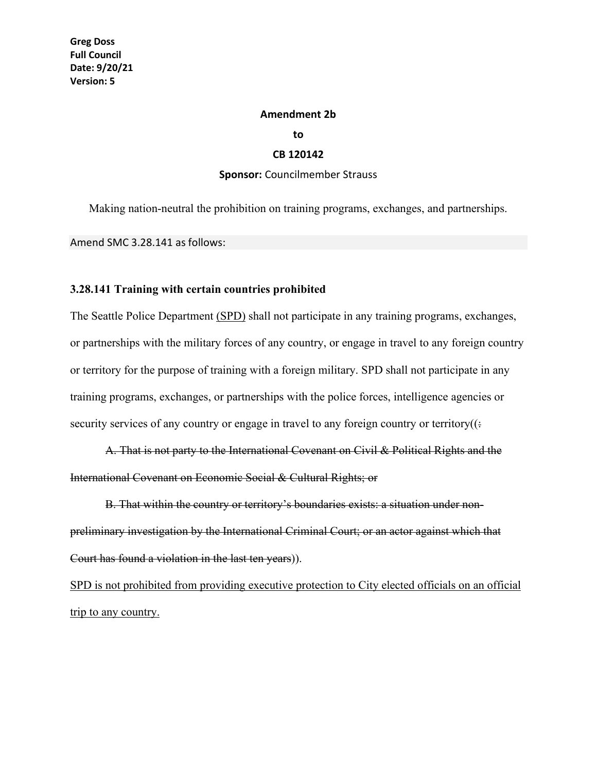## **Amendment 2b**

**to**

## **CB 120142**

## **Sponsor:** Councilmember Strauss

Making nation-neutral the prohibition on training programs, exchanges, and partnerships.

Amend SMC 3.28.141 as follows:

## **3.28.141 Training with certain countries prohibited**

The Seattle Police Department (SPD) shall not participate in any training programs, exchanges, or partnerships with the military forces of any country, or engage in travel to any foreign country or territory for the purpose of training with a foreign military. SPD shall not participate in any training programs, exchanges, or partnerships with the police forces, intelligence agencies or security services of any country or engage in travel to any foreign country or territory( $($ :

A. That is not party to the International Covenant on Civil & Political Rights and the International Covenant on Economic Social & Cultural Rights; or

B. That within the country or territory's boundaries exists: a situation under nonpreliminary investigation by the International Criminal Court; or an actor against which that Court has found a violation in the last ten years)).

SPD is not prohibited from providing executive protection to City elected officials on an official trip to any country.